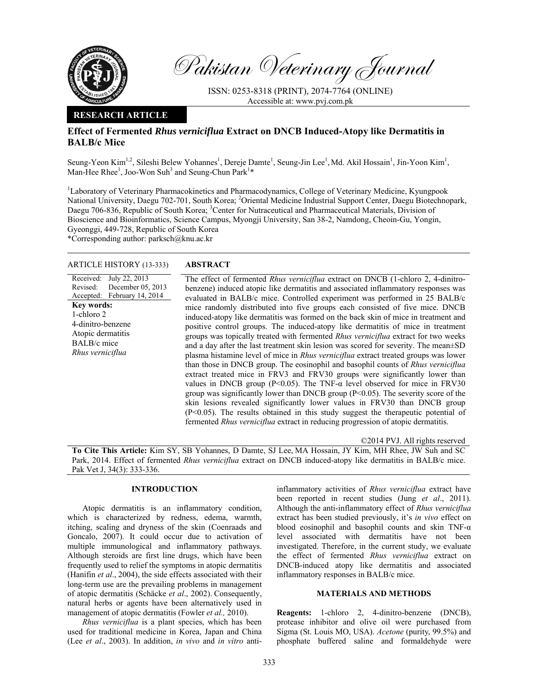

Pakistan Veterinary Journal

ISSN: 0253-8318 (PRINT), 2074-7764 (ONLINE) Accessible at: www.pvj.com.pk

### **RESEARCH ARTICLE**

## **Effect of Fermented** *Rhus verniciflua* **Extract on DNCB Induced-Atopy like Dermatitis in BALB/c Mice**

Seung-Yeon Kim<sup>1,2</sup>, Sileshi Belew Yohannes<sup>1</sup>, Dereje Damte<sup>1</sup>, Seung-Jin Lee<sup>1</sup>, Md. Akil Hossain<sup>1</sup>, Jin-Yoon Kim<sup>1</sup>, Man-Hee Rhee<sup>1</sup>, Joo-Won Suh<sup>3</sup> and Seung-Chun Park<sup>1</sup>\*

<sup>1</sup>Laboratory of Veterinary Pharmacokinetics and Pharmacodynamics, College of Veterinary Medicine, Kyungpook National University, Daegu 702-701, South Korea; <sup>2</sup>Oriental Medicine Industrial Support Center, Daegu Biotechnopark, Daegu 706-836, Republic of South Korea; <sup>3</sup>Center for Nutraceutical and Pharmaceutical Materials, Division of Bioscience and Bioinformatics, Science Campus, Myongji University, San 38-2, Namdong, Cheoin-Gu, Yongin, Gyeonggi, 449-728, Republic of South Korea

\*Corresponding author: parksch@knu.ac.kr

### ARTICLE HISTORY (13-333) **ABSTRACT**

Received: Revised: Accepted: February 14, 2014 July 22, 2013 December 05, 2013 **Key words:**  1-chloro 2 4-dinitro-benzene Atopic dermatitis BALB/c mice *Rhus verniciflua*

 The effect of fermented *Rhus verniciflua* extract on DNCB (1-chloro 2, 4-dinitrobenzene) induced atopic like dermatitis and associated inflammatory responses was evaluated in BALB/c mice. Controlled experiment was performed in 25 BALB/c mice randomly distributed into five groups each consisted of five mice. DNCB induced-atopy like dermatitis was formed on the back skin of mice in treatment and positive control groups. The induced-atopy like dermatitis of mice in treatment groups was topically treated with fermented *Rhus verniciflua* extract for two weeks and a day after the last treatment skin lesion was scored for severity. The mean±SD plasma histamine level of mice in *Rhus verniciflua* extract treated groups was lower than those in DNCB group. The eosinophil and basophil counts of *Rhus verniciflua* extract treated mice in FRV3 and FRV30 groups were significantly lower than values in DNCB group (P<0.05). The TNF-α level observed for mice in FRV30 group was significantly lower than DNCB group  $(P<0.05)$ . The severity score of the skin lesions revealed significantly lower values in FRV30 than DNCB group (P<0.05). The results obtained in this study suggest the therapeutic potential of fermented *Rhus verniciflua* extract in reducing progression of atopic dermatitis.

©2014 PVJ. All rights reserved

**To Cite This Article:** Kim SY, SB Yohannes, D Damte, SJ Lee, MA Hossain, JY Kim, MH Rhee, JW Suh and SC Park, 2014. Effect of fermented *Rhus verniciflua* extract on DNCB induced-atopy like dermatitis in BALB/c mice. Pak Vet J, 34(3): 333-336.

# **INTRODUCTION**

Atopic dermatitis is an inflammatory condition, which is characterized by redness, edema, warmth, itching, scaling and dryness of the skin (Coenraads and Goncalo, 2007). It could occur due to activation of multiple immunological and inflammatory pathways. Although steroids are first line drugs, which have been frequently used to relief the symptoms in atopic dermatitis (Hanifin *et al*., 2004), the side effects associated with their long-term use are the prevailing problems in management of atopic dermatitis (Schäcke *et al*., 2002). Consequently, natural herbs or agents have been alternatively used in management of atopic dermatitis (Fowler *et al.,* 2010).

*Rhus verniciflua* is a plant species, which has been used for traditional medicine in Korea, Japan and China (Lee *et al*., 2003). In addition, *in vivo* and *in vitro* antiinflammatory activities of *Rhus verniciflua* extract have been reported in recent studies (Jung *et al*., 2011). Although the anti-inflammatory effect of *Rhus verniciflua* extract has been studied previously, it's *in vivo* effect on blood eosinophil and basophil counts and skin TNF-α level associated with dermatitis have not been investigated. Therefore, in the current study, we evaluate the effect of fermented *Rhus verniciflua* extract on DNCB-induced atopy like dermatitis and associated inflammatory responses in BALB/c mice.

### **MATERIALS AND METHODS**

**Reagents:** 1-chloro 2, 4-dinitro-benzene (DNCB), protease inhibitor and olive oil were purchased from Sigma (St. Louis MO, USA). *Acetone* (purity, 99.5%) and phosphate buffered saline and formaldehyde were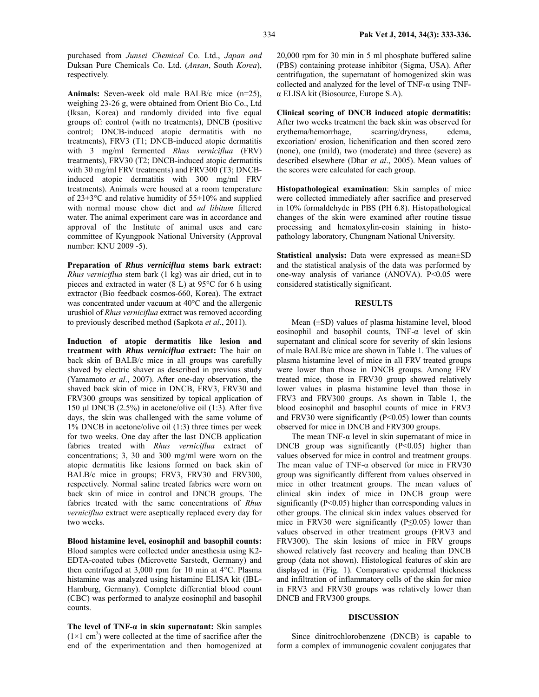purchased from *Junsei Chemical* Co. Ltd., *Japan and* Duksan Pure Chemicals Co. Ltd. (*Ansan*, South *Korea*), respectively.

**Animals:** Seven-week old male BALB/c mice (n=25), weighing 23-26 g, were obtained from Orient Bio Co., Ltd (Iksan, Korea) and randomly divided into five equal groups of: control (with no treatments), DNCB (positive control; DNCB-induced atopic dermatitis with no treatments), FRV3 (T1; DNCB-induced atopic dermatitis with 3 mg/ml fermented *Rhus verniciflua* (FRV) treatments), FRV30 (T2; DNCB-induced atopic dermatitis with 30 mg/ml FRV treatments) and FRV300 (T3; DNCBinduced atopic dermatitis with 300 mg/ml FRV treatments). Animals were housed at a room temperature of 23±3°C and relative humidity of 55±10% and supplied with normal mouse chow diet and *ad libitum* filtered water. The animal experiment care was in accordance and approval of the Institute of animal uses and care committee of Kyungpook National University (Approval number: KNU 2009 -5).

**Preparation of** *Rhus verniciflua* **stems bark extract:**  *Rhus verniciflua* stem bark (1 kg) was air dried, cut in to pieces and extracted in water (8 L) at 95°C for 6 h using extractor (Bio feedback cosmos-660, Korea). The extract was concentrated under vacuum at 40°C and the allergenic urushiol of *Rhus verniciflua* extract was removed according to previously described method (Sapkota *et al*., 2011).

**Induction of atopic dermatitis like lesion and treatment with** *Rhus verniciflua* **extract:** The hair on back skin of BALB/c mice in all groups was carefully shaved by electric shaver as described in previous study (Yamamoto *et al*., 2007). After one-day observation, the shaved back skin of mice in DNCB, FRV3, FRV30 and FRV300 groups was sensitized by topical application of 150 µl DNCB (2.5%) in acetone/olive oil (1:3). After five days, the skin was challenged with the same volume of 1% DNCB in acetone/olive oil (1:3) three times per week for two weeks. One day after the last DNCB application fabrics treated with *Rhus verniciflua* extract of concentrations; 3, 30 and 300 mg/ml were worn on the atopic dermatitis like lesions formed on back skin of BALB/c mice in groups; FRV3, FRV30 and FRV300, respectively. Normal saline treated fabrics were worn on back skin of mice in control and DNCB groups. The fabrics treated with the same concentrations of *Rhus verniciflua* extract were aseptically replaced every day for two weeks.

**Blood histamine level, eosinophil and basophil counts:**  Blood samples were collected under anesthesia using K2- EDTA-coated tubes (Microvette Sarstedt, Germany) and then centrifuged at 3,000 rpm for 10 min at 4°C. Plasma histamine was analyzed using histamine ELISA kit (IBL-Hamburg, Germany). Complete differential blood count (CBC) was performed to analyze eosinophil and basophil counts.

**The level of TNF-α in skin supernatant:** Skin samples  $(1\times1$  cm<sup>2</sup>) were collected at the time of sacrifice after the end of the experimentation and then homogenized at 20,000 rpm for 30 min in 5 ml phosphate buffered saline (PBS) containing protease inhibitor (Sigma, USA). After centrifugation, the supernatant of homogenized skin was collected and analyzed for the level of TNF-α using TNFα ELISA kit (Biosource, Europe S.A).

**Clinical scoring of DNCB induced atopic dermatitis:**  After two weeks treatment the back skin was observed for erythema/hemorrhage, scarring/dryness, edema, excoriation/ erosion, lichenification and then scored zero (none), one (mild), two (moderate) and three (severe) as described elsewhere (Dhar *et al*., 2005). Mean values of the scores were calculated for each group.

**Histopathological examination**: Skin samples of mice were collected immediately after sacrifice and preserved in 10% formaldehyde in PBS (PH 6.8). Histopathological changes of the skin were examined after routine tissue processing and hematoxylin-eosin staining in histopathology laboratory, Chungnam National University.

**Statistical analysis:** Data were expressed as mean±SD and the statistical analysis of the data was performed by one-way analysis of variance (ANOVA). P<0.05 were considered statistically significant.

#### **RESULTS**

Mean **(**±SD) values of plasma histamine level, blood eosinophil and basophil counts, TNF-α level of skin supernatant and clinical score for severity of skin lesions of male BALB/c mice are shown in Table 1. The values of plasma histamine level of mice in all FRV treated groups were lower than those in DNCB groups. Among FRV treated mice, those in FRV30 group showed relatively lower values in plasma histamine level than those in FRV3 and FRV300 groups. As shown in Table 1, the blood eosinophil and basophil counts of mice in FRV3 and FRV30 were significantly  $(P<0.05)$  lower than counts observed for mice in DNCB and FRV300 groups.

The mean TNF- $\alpha$  level in skin supernatant of mice in DNCB group was significantly  $(P<0.05)$  higher than values observed for mice in control and treatment groups. The mean value of TNF-α observed for mice in FRV30 group was significantly different from values observed in mice in other treatment groups. The mean values of clinical skin index of mice in DNCB group were significantly  $(P<0.05)$  higher than corresponding values in other groups. The clinical skin index values observed for mice in FRV30 were significantly ( $P \le 0.05$ ) lower than values observed in other treatment groups (FRV3 and FRV300). The skin lesions of mice in FRV groups showed relatively fast recovery and healing than DNCB group (data not shown). Histological features of skin are displayed in (Fig. 1). Comparative epidermal thickness and infiltration of inflammatory cells of the skin for mice in FRV3 and FRV30 groups was relatively lower than DNCB and FRV300 groups.

#### **DISCUSSION**

Since dinitrochlorobenzene (DNCB) is capable to form a complex of immunogenic covalent conjugates that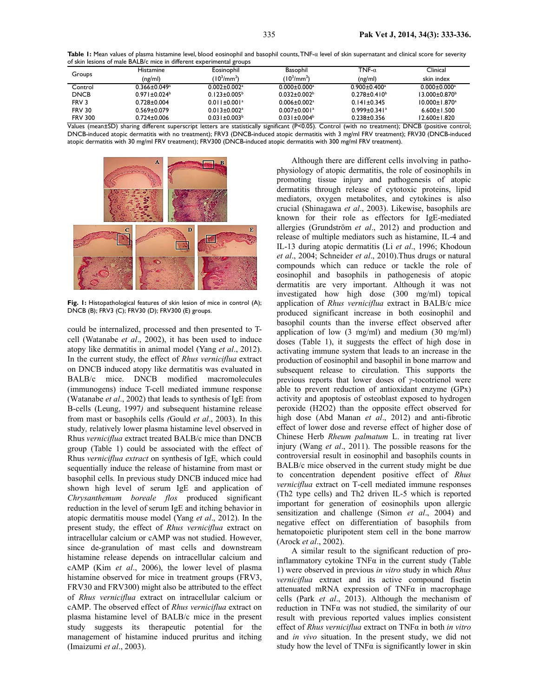**Table 1:** Mean values of plasma histamine level, blood eosinophil and basophil counts, TNF-α level of skin supernatant and clinical score for severity of skin lesions of male BALB/c mice in different experimental groups

| Groups           | <b>Histamine</b>                                                                                                                                                                                                                                                                                                                                                                                                       | Eosinophil                     | Basophil                       | TNF- $\alpha$                  | Clinical                        |
|------------------|------------------------------------------------------------------------------------------------------------------------------------------------------------------------------------------------------------------------------------------------------------------------------------------------------------------------------------------------------------------------------------------------------------------------|--------------------------------|--------------------------------|--------------------------------|---------------------------------|
|                  | (ng/ml)                                                                                                                                                                                                                                                                                                                                                                                                                | $(10^3/\text{mm}^3)$           | $(10^3/\text{mm}^3)$           | (ng/ml)                        | skin index                      |
| Control          | $0.366 \pm 0.049^a$                                                                                                                                                                                                                                                                                                                                                                                                    | $0.002 \pm 0.002$ <sup>a</sup> | $0.000 \pm 0.000$ <sup>a</sup> | $0.900 \pm 0.400$ <sup>a</sup> | $0.000 \pm 0.000$ <sup>a</sup>  |
| <b>DNCB</b>      | $0.971 \pm 0.024^b$                                                                                                                                                                                                                                                                                                                                                                                                    | $0.123 \pm 0.005^{\circ}$      | $0.032 \pm 0.002$ <sup>b</sup> | $0.278 \pm 0.410^b$            | $13.000 \pm 0.870$ <sup>b</sup> |
| FRV <sub>3</sub> | $0.728 + 0.004$                                                                                                                                                                                                                                                                                                                                                                                                        | $0.011 \pm 0.001$ <sup>a</sup> | $0.006 \pm 0.002$ <sup>a</sup> | $0.141 \pm 0.345$              | $10.000 \pm 1.870^a$            |
| <b>FRV 30</b>    | $0.569 \pm 0.079$                                                                                                                                                                                                                                                                                                                                                                                                      | $0.013 \pm 0.002$ <sup>a</sup> | $0.007 \pm 0.001$ <sup>a</sup> | $0.999 \pm 0.341$ <sup>a</sup> | $6.600 \pm 1.500$               |
| <b>FRV 300</b>   | $0.724 \pm 0.006$<br>$M = \{x \in \mathbb{R}^n : x \in \mathbb{R}^n : x \in \mathbb{R}^n : x \in \mathbb{R}^n : x \in \mathbb{R}^n : x \in \mathbb{R}^n : x \in \mathbb{R}^n : x \in \mathbb{R}^n : x \in \mathbb{R}^n : x \in \mathbb{R}^n : x \in \mathbb{R}^n : x \in \mathbb{R}^n : x \in \mathbb{R}^n : x \in \mathbb{R}^n : x \in \mathbb{R}^n : x \in \mathbb{R}^n : x \in \mathbb{R}^n : x \in \mathbb{R}^n :$ | $0.031 \pm 0.003$ <sup>b</sup> | $0.031 \pm 0.004^b$            | $0.238 + 0.356$                | $12.600 \pm 1.820$              |

Values (mean±SD) sharing different superscript letters are statistically significant (P*<*0.05). Control (with no treatment); DNCB (positive control; DNCB-induced atopic dermatitis with no treatment); FRV3 (DNCB-induced atopic dermatitis with 3 mg/ml FRV treatment); FRV30 (DNCB-induced atopic dermatitis with 30 mg/ml FRV treatment); FRV300 (DNCB-induced atopic dermatitis with 300 mg/ml FRV treatment).



**Fig. 1:** Histopathological features of skin lesion of mice in control (A); DNCB (B); FRV3 (C); FRV30 (D); FRV300 (E) groups.

could be internalized, processed and then presented to Tcell (Watanabe *et al*., 2002), it has been used to induce atopy like dermatitis in animal model (Yang *et al*., 2012). In the current study, the effect of *Rhus verniciflua* extract on DNCB induced atopy like dermatitis was evaluated in BALB/c mice. DNCB modified macromolecules (immunogens) induce T-cell mediated immune response (Watanabe *et al*., 2002) that leads to synthesis of IgE from B-cells (Leung, 1997*)* and subsequent histamine release from mast or basophils cells *(*Gould *et al*., 2003). In this study*,* relatively lower plasma histamine level observed in Rhus *verniciflua* extract treated BALB/c mice than DNCB group (Table 1) could be associated with the effect of Rhus *verniciflua extract* on synthesis of IgE*,* which could sequentially induce the release of histamine from mast or basophil cells*.* In previous study DNCB induced mice had shown high level of serum IgE and application of *Chrysanthemum boreale flos* produced significant reduction in the level of serum IgE and itching behavior in atopic dermatitis mouse model (Yang *et al*., 2012). In the present study, the effect of *Rhus verniciflua* extract on intracellular calcium or cAMP was not studied. However, since de-granulation of mast cells and downstream histamine release depends on intracellular calcium and cAMP (Kim *et al*., 2006), the lower level of plasma histamine observed for mice in treatment groups (FRV3, FRV30 and FRV300) might also be attributed to the effect of *Rhus verniciflua* extract on intracellular calcium or cAMP. The observed effect of *Rhus verniciflua* extract on plasma histamine level of BALB/c mice in the present study suggests its therapeutic potential for the management of histamine induced pruritus and itching (Imaizumi *et al*., 2003).

Although there are different cells involving in pathophysiology of atopic dermatitis, the role of eosinophils in promoting tissue injury and pathogenesis of atopic dermatitis through release of cytotoxic proteins, lipid mediators, oxygen metabolites, and cytokines is also crucial (Shinagawa *et al*., 2003). Likewise, basophils are known for their role as effectors for IgE-mediated allergies (Grundström *et al*., 2012) and production and release of multiple mediators such as histamine, IL-4 and IL-13 during atopic dermatitis (Li *et al*., 1996; Khodoun *et al*., 2004; Schneider *et al*., 2010).Thus drugs or natural compounds which can reduce or tackle the role of eosinophil and basophils in pathogenesis of atopic dermatitis are very important. Although it was not investigated how high dose (300 mg/ml) topical application of *Rhus verniciflua* extract in BALB/c mice produced significant increase in both eosinophil and basophil counts than the inverse effect observed after application of low  $(3 \text{ mg/ml})$  and medium  $(30 \text{ mg/ml})$ doses (Table 1), it suggests the effect of high dose in activating immune system that leads to an increase in the production of eosinophil and basophil in bone marrow and subsequent release to circulation. This supports the previous reports that lower doses of *γ*-tocotrienol were able to prevent reduction of antioxidant enzyme (GPx) activity and apoptosis of osteoblast exposed to hydrogen peroxide (H2O2) than the opposite effect observed for high dose (Abd Manan *et al*., 2012) and anti-fibrotic effect of lower dose and reverse effect of higher dose of Chinese Herb *Rheum palmatum* L. in treating rat liver injury (Wang *et al*., 2011). The possible reasons for the controversial result in eosinophil and basophils counts in BALB/c mice observed in the current study might be due to concentration dependent positive effect of *Rhus verniciflua* extract on T-cell mediated immune responses (Th2 type cells) and Th2 driven IL-5 which is reported important for generation of eosinophils upon allergic sensitization and challenge (Simon *et al*., 2004) and negative effect on differentiation of basophils from hematopoietic pluripotent stem cell in the bone marrow (Arock *et al*., 2002).

A similar result to the significant reduction of proinflammatory cytokine  $TNF\alpha$  in the current study (Table 1) were observed in previous *in vitro* study in which *Rhus verniciflua* extract and its active compound fisetin attenuated mRNA expression of  $TNF\alpha$  in macrophage cells (Park *et al*., 2013). Although the mechanism of reduction in TNFα was not studied, the similarity of our result with previous reported values implies consistent effect of *Rhus verniciflua* extract on TNFα in both *in vitro* and *in vivo* situation. In the present study, we did not study how the level of  $TNF\alpha$  is significantly lower in skin